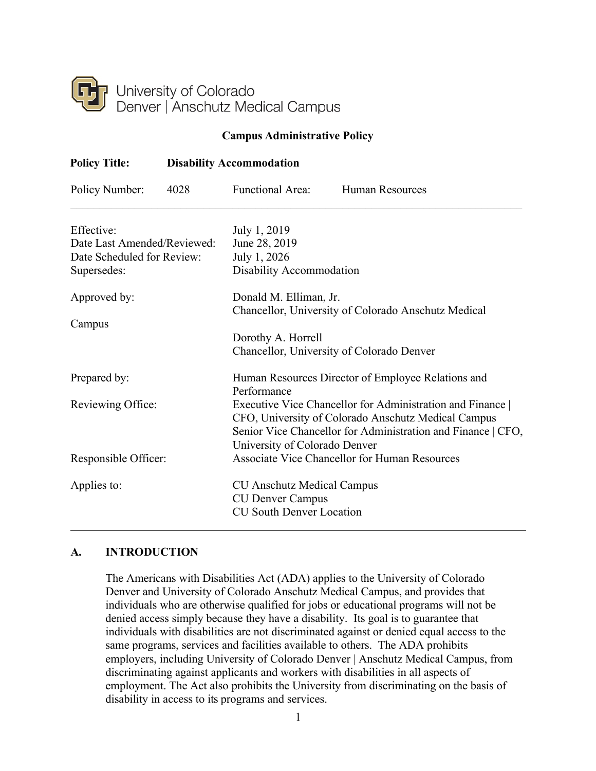

#### **Campus Administrative Policy**

| <b>Policy Title:</b>        | <b>Disability Accommodation</b> |                                                                   |                                                                                                                     |
|-----------------------------|---------------------------------|-------------------------------------------------------------------|---------------------------------------------------------------------------------------------------------------------|
| Policy Number:              | 4028                            | <b>Functional Area:</b>                                           | <b>Human Resources</b>                                                                                              |
| Effective:                  |                                 | July 1, 2019                                                      |                                                                                                                     |
| Date Last Amended/Reviewed: |                                 | June 28, 2019                                                     |                                                                                                                     |
| Date Scheduled for Review:  |                                 | July 1, 2026                                                      |                                                                                                                     |
| Supersedes:                 |                                 | Disability Accommodation                                          |                                                                                                                     |
| Approved by:                |                                 | Donald M. Elliman, Jr.                                            |                                                                                                                     |
|                             |                                 | Chancellor, University of Colorado Anschutz Medical               |                                                                                                                     |
| Campus                      |                                 |                                                                   |                                                                                                                     |
|                             |                                 | Dorothy A. Horrell                                                |                                                                                                                     |
|                             |                                 |                                                                   | Chancellor, University of Colorado Denver                                                                           |
| Prepared by:                |                                 | Human Resources Director of Employee Relations and<br>Performance |                                                                                                                     |
| Reviewing Office:           |                                 |                                                                   | Executive Vice Chancellor for Administration and Finance                                                            |
|                             |                                 |                                                                   | CFO, University of Colorado Anschutz Medical Campus<br>Senior Vice Chancellor for Administration and Finance   CFO, |
|                             |                                 | University of Colorado Denver                                     |                                                                                                                     |
| Responsible Officer:        |                                 |                                                                   | <b>Associate Vice Chancellor for Human Resources</b>                                                                |
| Applies to:                 |                                 | <b>CU Anschutz Medical Campus</b>                                 |                                                                                                                     |
|                             |                                 | <b>CU Denver Campus</b>                                           |                                                                                                                     |
|                             |                                 | <b>CU South Denver Location</b>                                   |                                                                                                                     |
|                             |                                 |                                                                   |                                                                                                                     |

# **A. INTRODUCTION**

The Americans with Disabilities Act (ADA) applies to the University of Colorado Denver and University of Colorado Anschutz Medical Campus, and provides that individuals who are otherwise qualified for jobs or educational programs will not be denied access simply because they have a disability. Its goal is to guarantee that individuals with disabilities are not discriminated against or denied equal access to the same programs, services and facilities available to others. The ADA prohibits employers, including University of Colorado Denver | Anschutz Medical Campus, from discriminating against applicants and workers with disabilities in all aspects of employment. The Act also prohibits the University from discriminating on the basis of disability in access to its programs and services.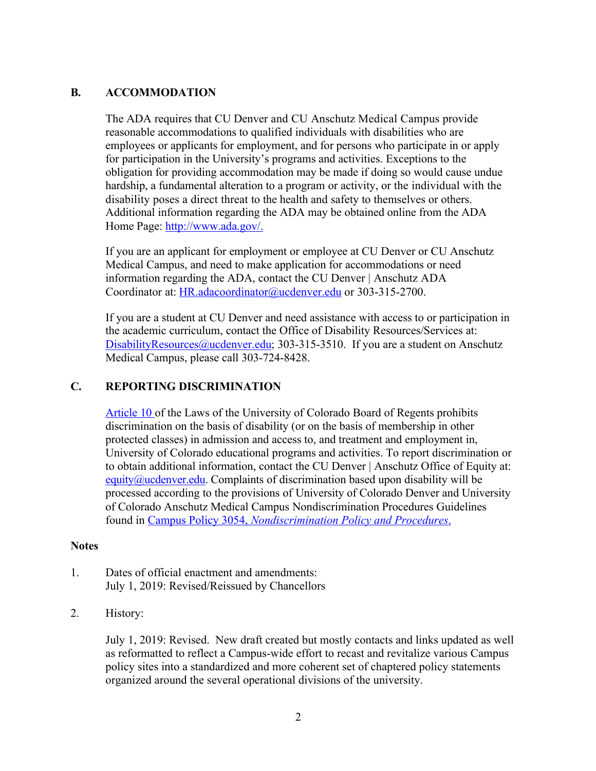# **B. ACCOMMODATION**

The ADA requires that CU Denver and CU Anschutz Medical Campus provide reasonable accommodations to qualified individuals with disabilities who are employees or applicants for employment, and for persons who participate in or apply for participation in the University's programs and activities. Exceptions to the obligation for providing accommodation may be made if doing so would cause undue hardship, a fundamental alteration to a program or activity, or the individual with the disability poses a direct threat to the health and safety to themselves or others. Additional information regarding the ADA may be obtained online from the ADA Home Page: http://www.ada.gov/.

If you are an applicant for employment or employee at CU Denver or CU Anschutz Medical Campus, and need to make application for accommodations or need information regarding the ADA, contact the CU Denver | Anschutz ADA Coordinator at: HR.adacoordinator@ucdenver.edu or 303-315-2700.

If you are a student at CU Denver and need assistance with access to or participation in the academic curriculum, contact the Office of Disability Resources/Services at: DisabilityResources@ucdenver.edu; 303-315-3510. If you are a student on Anschutz Medical Campus, please call 303-724-8428.

### **C. REPORTING DISCRIMINATION**

Article 10 of the Laws of the University of Colorado Board of Regents prohibits discrimination on the basis of disability (or on the basis of membership in other protected classes) in admission and access to, and treatment and employment in, University of Colorado educational programs and activities. To report discrimination or to obtain additional information, contact the CU Denver | Anschutz Office of Equity at: equity@ucdenver.edu. Complaints of discrimination based upon disability will be processed according to the provisions of University of Colorado Denver and University of Colorado Anschutz Medical Campus Nondiscrimination Procedures Guidelines found in Campus Policy 3054, *Nondiscrimination Policy and Procedures*.

#### **Notes**

- 1. Dates of official enactment and amendments: July 1, 2019: Revised/Reissued by Chancellors
- 2. History:

July 1, 2019: Revised. New draft created but mostly contacts and links updated as well as reformatted to reflect a Campus-wide effort to recast and revitalize various Campus policy sites into a standardized and more coherent set of chaptered policy statements organized around the several operational divisions of the university.